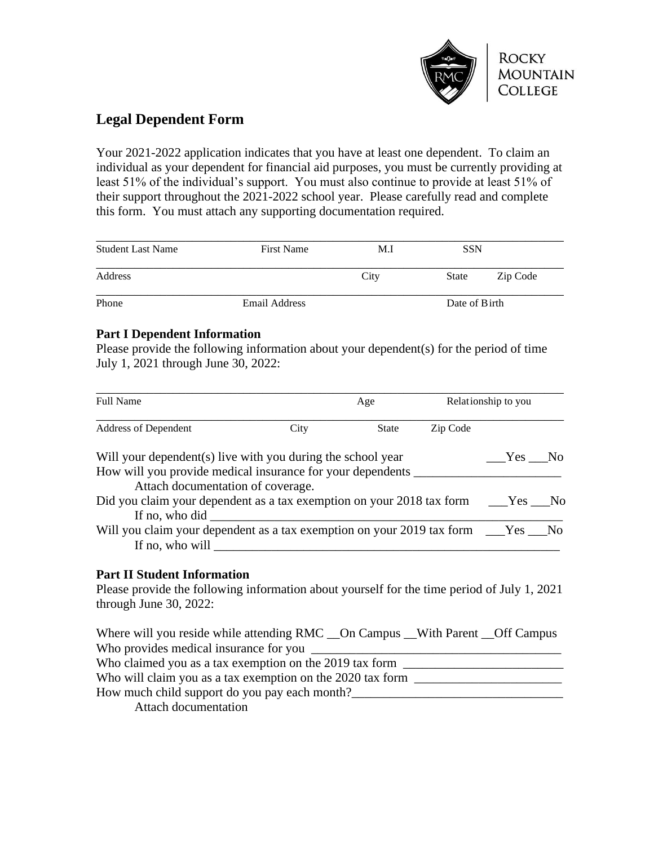

# **Legal Dependent Form**

Your 2021-2022 application indicates that you have at least one dependent. To claim an individual as your dependent for financial aid purposes, you must be currently providing at least 51% of the individual's support. You must also continue to provide at least 51% of their support throughout the 2021-2022 school year. Please carefully read and complete this form. You must attach any supporting documentation required.

| <b>Student Last Name</b> | <b>First Name</b> | M.I<br>City | <b>SSN</b>    |          |
|--------------------------|-------------------|-------------|---------------|----------|
| Address                  |                   |             | State         | Zip Code |
| Phone                    | Email Address     |             | Date of Birth |          |

### **Part I Dependent Information**

Please provide the following information about your dependent(s) for the period of time July 1, 2021 through June 30, 2022:

| <b>Full Name</b>                                                                   |      | Age          |          | Relationship to you |  |
|------------------------------------------------------------------------------------|------|--------------|----------|---------------------|--|
| <b>Address of Dependent</b>                                                        | City | <b>State</b> | Zip Code |                     |  |
| Will your dependent(s) live with you during the school year                        |      |              |          | Yes No              |  |
| How will you provide medical insurance for your dependents                         |      |              |          |                     |  |
| Attach documentation of coverage.                                                  |      |              |          |                     |  |
|                                                                                    |      |              |          |                     |  |
| If no, who did                                                                     |      |              |          |                     |  |
| Will you claim your dependent as a tax exemption on your 2019 tax form ___Yes __No |      |              |          |                     |  |
| If no, who will                                                                    |      |              |          |                     |  |

## **Part II Student Information**

Please provide the following information about yourself for the time period of July 1, 2021 through June 30, 2022:

Where will you reside while attending RMC \_\_ On Campus \_\_ With Parent \_\_ Off Campus Who provides medical insurance for you Who claimed you as a tax exemption on the 2019 tax form \_\_\_\_\_\_\_\_\_\_\_\_\_\_\_\_\_\_\_\_\_\_\_\_\_ Who will claim you as a tax exemption on the 2020 tax form \_\_\_\_\_\_\_\_\_\_\_\_\_\_\_\_\_\_\_\_\_ How much child support do you pay each month? Attach documentation